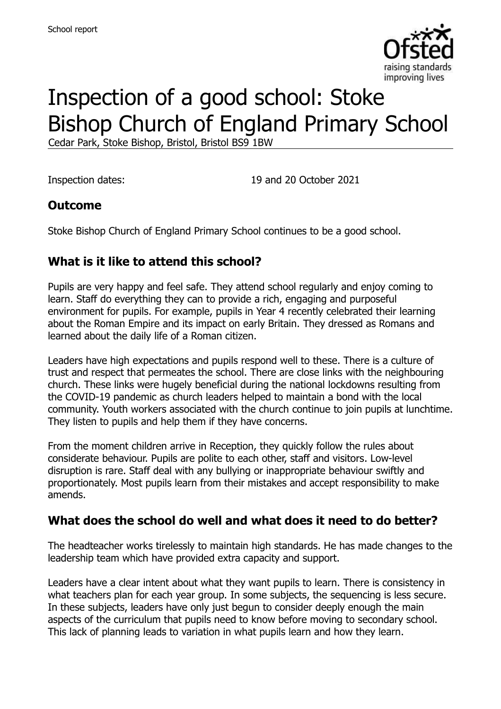

# Inspection of a good school: Stoke Bishop Church of England Primary School

Cedar Park, Stoke Bishop, Bristol, Bristol BS9 1BW

Inspection dates: 19 and 20 October 2021

#### **Outcome**

Stoke Bishop Church of England Primary School continues to be a good school.

# **What is it like to attend this school?**

Pupils are very happy and feel safe. They attend school regularly and enjoy coming to learn. Staff do everything they can to provide a rich, engaging and purposeful environment for pupils. For example, pupils in Year 4 recently celebrated their learning about the Roman Empire and its impact on early Britain. They dressed as Romans and learned about the daily life of a Roman citizen.

Leaders have high expectations and pupils respond well to these. There is a culture of trust and respect that permeates the school. There are close links with the neighbouring church. These links were hugely beneficial during the national lockdowns resulting from the COVID-19 pandemic as church leaders helped to maintain a bond with the local community. Youth workers associated with the church continue to join pupils at lunchtime. They listen to pupils and help them if they have concerns.

From the moment children arrive in Reception, they quickly follow the rules about considerate behaviour. Pupils are polite to each other, staff and visitors. Low-level disruption is rare. Staff deal with any bullying or inappropriate behaviour swiftly and proportionately. Most pupils learn from their mistakes and accept responsibility to make amends.

#### **What does the school do well and what does it need to do better?**

The headteacher works tirelessly to maintain high standards. He has made changes to the leadership team which have provided extra capacity and support.

Leaders have a clear intent about what they want pupils to learn. There is consistency in what teachers plan for each year group. In some subjects, the sequencing is less secure. In these subjects, leaders have only just begun to consider deeply enough the main aspects of the curriculum that pupils need to know before moving to secondary school. This lack of planning leads to variation in what pupils learn and how they learn.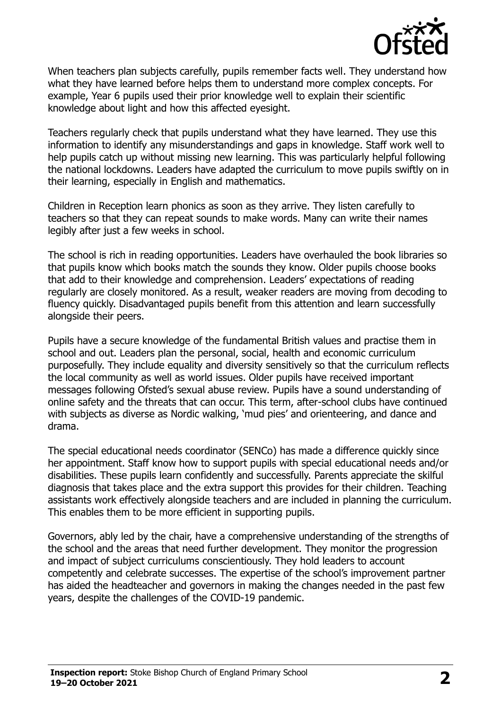

When teachers plan subjects carefully, pupils remember facts well. They understand how what they have learned before helps them to understand more complex concepts. For example, Year 6 pupils used their prior knowledge well to explain their scientific knowledge about light and how this affected eyesight.

Teachers regularly check that pupils understand what they have learned. They use this information to identify any misunderstandings and gaps in knowledge. Staff work well to help pupils catch up without missing new learning. This was particularly helpful following the national lockdowns. Leaders have adapted the curriculum to move pupils swiftly on in their learning, especially in English and mathematics.

Children in Reception learn phonics as soon as they arrive. They listen carefully to teachers so that they can repeat sounds to make words. Many can write their names legibly after just a few weeks in school.

The school is rich in reading opportunities. Leaders have overhauled the book libraries so that pupils know which books match the sounds they know. Older pupils choose books that add to their knowledge and comprehension. Leaders' expectations of reading regularly are closely monitored. As a result, weaker readers are moving from decoding to fluency quickly. Disadvantaged pupils benefit from this attention and learn successfully alongside their peers.

Pupils have a secure knowledge of the fundamental British values and practise them in school and out. Leaders plan the personal, social, health and economic curriculum purposefully. They include equality and diversity sensitively so that the curriculum reflects the local community as well as world issues. Older pupils have received important messages following Ofsted's sexual abuse review. Pupils have a sound understanding of online safety and the threats that can occur. This term, after-school clubs have continued with subjects as diverse as Nordic walking, 'mud pies' and orienteering, and dance and drama.

The special educational needs coordinator (SENCo) has made a difference quickly since her appointment. Staff know how to support pupils with special educational needs and/or disabilities. These pupils learn confidently and successfully. Parents appreciate the skilful diagnosis that takes place and the extra support this provides for their children. Teaching assistants work effectively alongside teachers and are included in planning the curriculum. This enables them to be more efficient in supporting pupils.

Governors, ably led by the chair, have a comprehensive understanding of the strengths of the school and the areas that need further development. They monitor the progression and impact of subject curriculums conscientiously. They hold leaders to account competently and celebrate successes. The expertise of the school's improvement partner has aided the headteacher and governors in making the changes needed in the past few years, despite the challenges of the COVID-19 pandemic.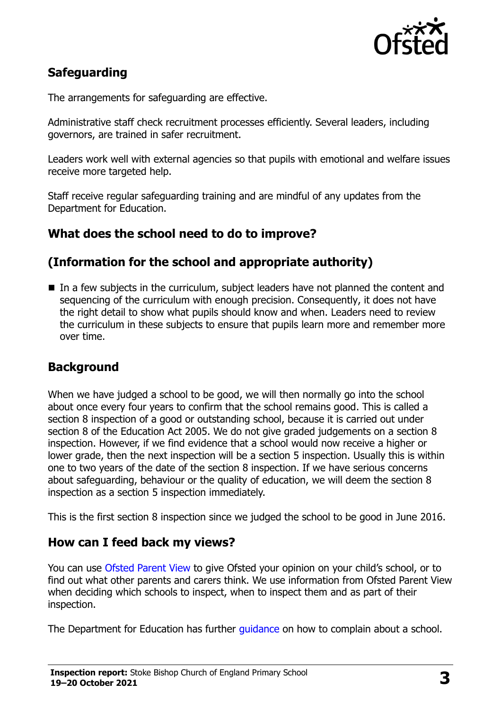

# **Safeguarding**

The arrangements for safeguarding are effective.

Administrative staff check recruitment processes efficiently. Several leaders, including governors, are trained in safer recruitment.

Leaders work well with external agencies so that pupils with emotional and welfare issues receive more targeted help.

Staff receive regular safeguarding training and are mindful of any updates from the Department for Education.

### **What does the school need to do to improve?**

### **(Information for the school and appropriate authority)**

■ In a few subjects in the curriculum, subject leaders have not planned the content and sequencing of the curriculum with enough precision. Consequently, it does not have the right detail to show what pupils should know and when. Leaders need to review the curriculum in these subjects to ensure that pupils learn more and remember more over time.

#### **Background**

When we have judged a school to be good, we will then normally go into the school about once every four years to confirm that the school remains good. This is called a section 8 inspection of a good or outstanding school, because it is carried out under section 8 of the Education Act 2005. We do not give graded judgements on a section 8 inspection. However, if we find evidence that a school would now receive a higher or lower grade, then the next inspection will be a section 5 inspection. Usually this is within one to two years of the date of the section 8 inspection. If we have serious concerns about safeguarding, behaviour or the quality of education, we will deem the section 8 inspection as a section 5 inspection immediately.

This is the first section 8 inspection since we judged the school to be good in June 2016.

#### **How can I feed back my views?**

You can use [Ofsted Parent View](https://parentview.ofsted.gov.uk/) to give Ofsted your opinion on your child's school, or to find out what other parents and carers think. We use information from Ofsted Parent View when deciding which schools to inspect, when to inspect them and as part of their inspection.

The Department for Education has further [guidance](http://www.gov.uk/complain-about-school) on how to complain about a school.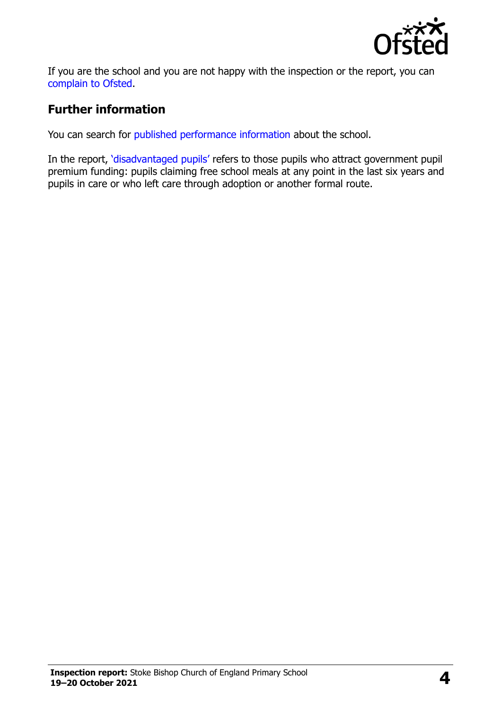

If you are the school and you are not happy with the inspection or the report, you can [complain to Ofsted.](https://www.gov.uk/complain-ofsted-report)

### **Further information**

You can search for [published performance information](http://www.compare-school-performance.service.gov.uk/) about the school.

In the report, '[disadvantaged pupils](http://www.gov.uk/guidance/pupil-premium-information-for-schools-and-alternative-provision-settings)' refers to those pupils who attract government pupil premium funding: pupils claiming free school meals at any point in the last six years and pupils in care or who left care through adoption or another formal route.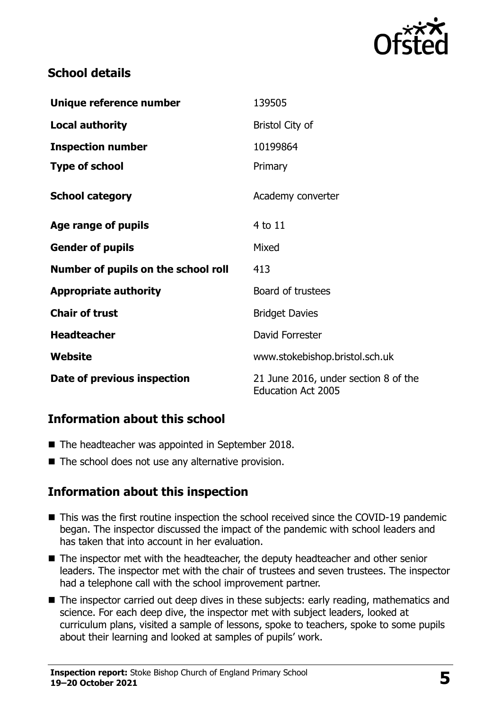

## **School details**

| Unique reference number             | 139505                                                            |
|-------------------------------------|-------------------------------------------------------------------|
| <b>Local authority</b>              | <b>Bristol City of</b>                                            |
| <b>Inspection number</b>            | 10199864                                                          |
| <b>Type of school</b>               | Primary                                                           |
| <b>School category</b>              | Academy converter                                                 |
| Age range of pupils                 | 4 to 11                                                           |
| <b>Gender of pupils</b>             | Mixed                                                             |
| Number of pupils on the school roll | 413                                                               |
| <b>Appropriate authority</b>        | Board of trustees                                                 |
| <b>Chair of trust</b>               | <b>Bridget Davies</b>                                             |
| <b>Headteacher</b>                  | David Forrester                                                   |
| Website                             | www.stokebishop.bristol.sch.uk                                    |
| Date of previous inspection         | 21 June 2016, under section 8 of the<br><b>Education Act 2005</b> |

# **Information about this school**

- The headteacher was appointed in September 2018.
- $\blacksquare$  The school does not use any alternative provision.

# **Information about this inspection**

- This was the first routine inspection the school received since the COVID-19 pandemic began. The inspector discussed the impact of the pandemic with school leaders and has taken that into account in her evaluation.
- The inspector met with the headteacher, the deputy headteacher and other senior leaders. The inspector met with the chair of trustees and seven trustees. The inspector had a telephone call with the school improvement partner.
- The inspector carried out deep dives in these subjects: early reading, mathematics and science. For each deep dive, the inspector met with subject leaders, looked at curriculum plans, visited a sample of lessons, spoke to teachers, spoke to some pupils about their learning and looked at samples of pupils' work.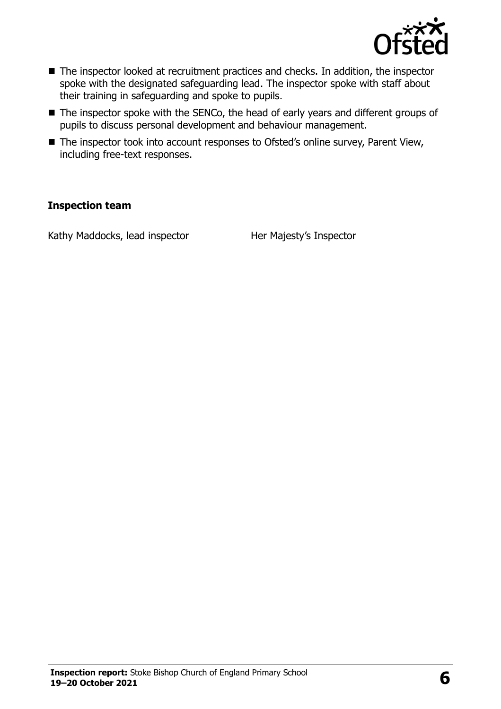

- The inspector looked at recruitment practices and checks. In addition, the inspector spoke with the designated safeguarding lead. The inspector spoke with staff about their training in safeguarding and spoke to pupils.
- The inspector spoke with the SENCo, the head of early years and different groups of pupils to discuss personal development and behaviour management.
- The inspector took into account responses to Ofsted's online survey, Parent View, including free-text responses.

#### **Inspection team**

Kathy Maddocks, lead inspector Her Majesty's Inspector